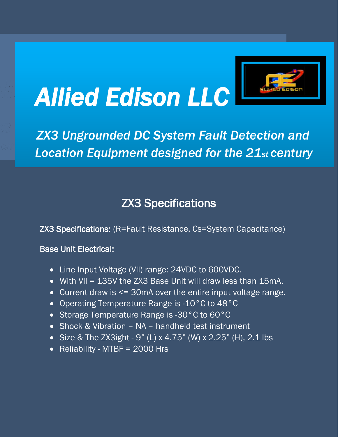

# *ZX3 Ungrounded DC System Fault Detection and Location Equipment designed for the 21st century*

# ZX3 Specifications

ZX3 Specifications: (R=Fault Resistance, Cs=System Capacitance)

#### Base Unit Electrical:

- Line Input Voltage (Vll) range: 24VDC to 600VDC.
- With Vll = 135V the ZX3 Base Unit will draw less than 15mA.
- Current draw is <= 30mA over the entire input voltage range.
- Operating Temperature Range is -10°C to 48°C
- Storage Temperature Range is -30°C to 60°C
- Shock & Vibration NA handheld test instrument
- Size & The ZX3ight  $9$ " (L) x 4.75" (W) x 2.25" (H), 2.1 lbs
- Reliability MTBF = 2000 Hrs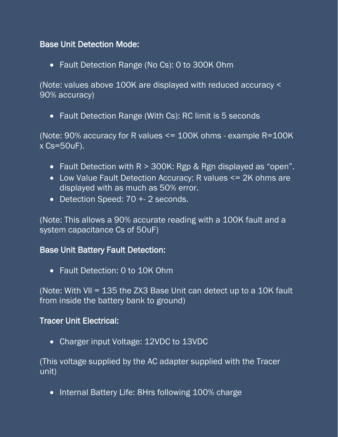# Base Unit Detection Mode:

• Fault Detection Range (No Cs): 0 to 300K Ohm

(Note: values above 100K are displayed with reduced accuracy < 90% accuracy)

• Fault Detection Range (With Cs): RC limit is 5 seconds

(Note: 90% accuracy for R values <= 100K ohms - example R=100K x Cs=50uF).

- Fault Detection with  $R > 300K$ : Rgp & Rgn displayed as "open".
- Low Value Fault Detection Accuracy: R values <= 2K ohms are displayed with as much as 50% error.
- Detection Speed: 70 + 2 seconds.

(Note: This allows a 90% accurate reading with a 100K fault and a system capacitance Cs of 50uF)

# Base Unit Battery Fault Detection:

• Fault Detection: 0 to 10K Ohm

(Note: With Vll = 135 the ZX3 Base Unit can detect up to a 10K fault from inside the battery bank to ground)

#### Tracer Unit Electrical:

• Charger input Voltage: 12VDC to 13VDC

(This voltage supplied by the AC adapter supplied with the Tracer unit)

• Internal Battery Life: 8Hrs following 100% charge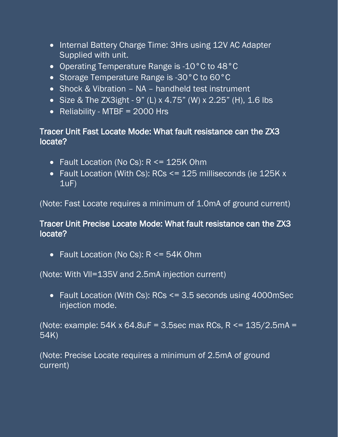- Internal Battery Charge Time: 3Hrs using 12V AC Adapter Supplied with unit.
- Operating Temperature Range is -10°C to 48°C
- Storage Temperature Range is -30°C to 60°C
- Shock & Vibration NA handheld test instrument
- Size & The ZX3ight 9" (L) x 4.75" (W) x 2.25" (H), 1.6 lbs
- Reliability MTBF = 2000 Hrs

# Tracer Unit Fast Locate Mode: What fault resistance can the ZX3 locate?

- Fault Location (No Cs): R <= 125K Ohm
- Fault Location (With Cs): RCs <= 125 milliseconds (ie 125K x  $1uF$ )

(Note: Fast Locate requires a minimum of 1.0mA of ground current)

# Tracer Unit Precise Locate Mode: What fault resistance can the ZX3 locate?

• Fault Location (No Cs): R <= 54K Ohm

(Note: With Vll=135V and 2.5mA injection current)

• Fault Location (With Cs): RCs <= 3.5 seconds using 4000mSec injection mode.

(Note: example:  $54K \times 64.8uF = 3.5sec$  max RCs, R <=  $135/2.5mA =$ 54K)

(Note: Precise Locate requires a minimum of 2.5mA of ground current)